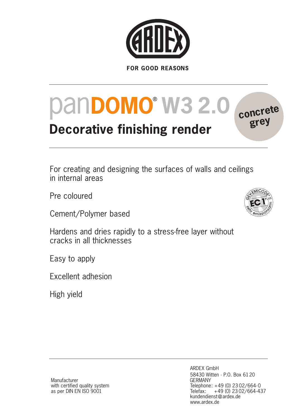

# **PanDOMO<sup>®</sup> W3 2.0<sup></sup> conc**

## **Decorative finishing render**

For creating and designing the surfaces of walls and ceilings in internal areas

Pre coloured

Cement/Polymer based

Hardens and dries rapidly to a stress-free layer without cracks in all thicknesses

Easy to apply

Excellent adhesion

High yield



**grey**

Manufacturer with certified quality system as per DIN EN ISO 9001

ARDEX GmbH 58430 Witten · P.O. Box 6120 GERMANY Telephone: +49 (0) 23 02/664-0 Telefax: +49 (0) 23 02/664-437 kundendienst@ardex.de www.ardex.de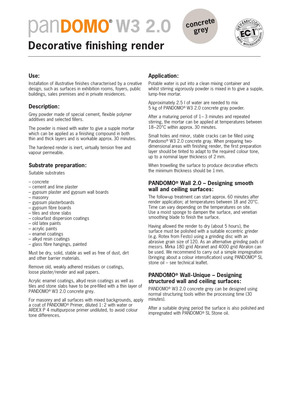## **PanDOMO<sup>®</sup> W3 2.0 concrete**



### **Decorative finishing render**

#### **Use:**

Installation of illustrative finishes characterised by a creative design, such as surfaces in exhibition rooms, foyers, public buildings, sales premises and in private residences.

#### **Description:**

Grey powder made of special cement, flexible polymer additives and selected fillers.

The powder is mixed with water to give a supple mortar which can be applied as a finishing compound in both thin and thick layers and is workable approx. 30 minutes.

The hardened render is inert, virtually tension free and vapour permeable.

#### **Substrate preparation:**

Suitable substrates

- concrete
- cement and lime plaster
- gypsum plaster and gypsum wall boards
- masonry
- gypsum plasterboards
- gypsum fibre boards
- tiles and stone slabs
- colourfast dispersion coatings
- old latex paints
- acrylic paints
- enamel coatings
- alkyd resin coatings
- glass fibre hangings, painted

Must be dry, solid, stable as well as free of dust, dirt and other barrier materials.

Remove old, weakly adhered residues or coatings, loose plaster/render and wall papers.

Acrylic enamel coatings, alkyd resin coatings as well as tiles and stone slabs have to be pre-filled with a thin layer of PANDOMO® W3 2.0 concrete grey.

For masonry and all surfaces with mixed backgrounds, apply a coat of PANDOMO® Primer, diluted 1: 2 with water or ARDEX P 4 multipurpose primer undiluted, to avoid colour tone differences.

#### **Application:**

Potable water is put into a clean mixing container and whilst stirring vigorously powder is mixed in to give a supple, lump-free mortar.

**grey**

Approximately 2.5 l of water are needed to mix 5 kg of PANDOMO® W3 2.0 concrete gray powder.

After a maturing period of 1– 3 minutes and repeated stirring, the mortar can be applied at temperatures between 18–20°C within approx. 30 minutes.

Small holes and minor, stable cracks can be filled using Pandomo® W3 2.0 concrete gray. When preparing twodimensional areas with finishing render, the first preparation layer should be tinted to adapt to the required colour tone. up to a nominal layer thickness of 2 mm.

When trowelling the surface to produce decorative effects the minimum thickness should be 1mm.

#### **PANDOMO® Wall 2.0 – Designing smooth wall and ceiling surfaces:**

The follow-up treatment can start approx. 60 minutes after render application; at temperatures between 18 and 20°C. Time can vary depending on the temperatures on site. Use a moist sponge to dampen the surface, and venetian smoothing blade to finish the surface.

Having allowed the render to dry (about 5 hours), the surface must be polished with a suitable eccentric grinder (e.g. Rotex from Festo) using a grinding disc with an abrasive grain size of 120. As an alternative grinding pads of messrs. Mirka 180 grid Abranet and 4000 grid Abralon can be used. We recommend to carry out a simple impregnation (bringing about a colour intensification) using PANDOMO® SL stone oil – see technical leaflet.

#### **PANDOMO® Wall-Unique – Designing structured wall and ceiling surfaces:**

PANDOMO® W3 2.0 concrete grey can be designed using normal structuring tools within the processing time (30 minutes).

After a suitable drying period the surface is also polished and impregnated with PANDOMO® SL Stone oil.